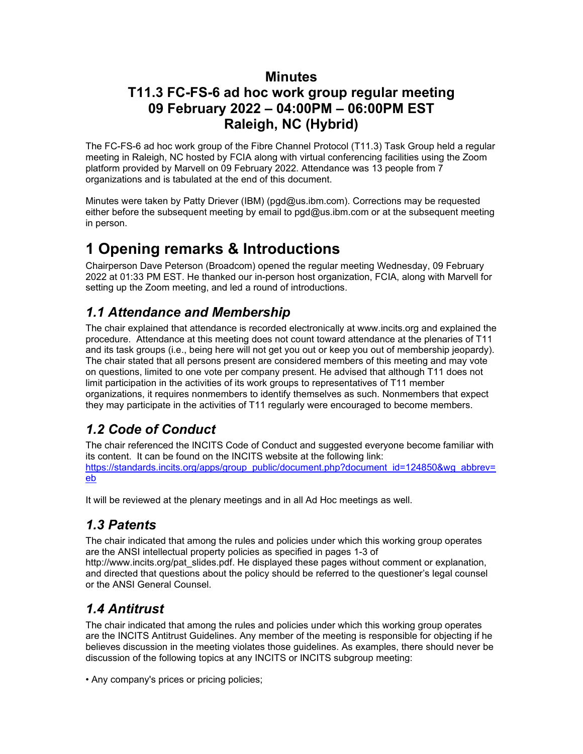#### **Minutes**

## **T11.3 FC-FS-6 ad hoc work group regular meeting 09 February 2022 – 04:00PM – 06:00PM EST Raleigh, NC (Hybrid)**

The FC-FS-6 ad hoc work group of the Fibre Channel Protocol (T11.3) Task Group held a regular meeting in Raleigh, NC hosted by FCIA along with virtual conferencing facilities using the Zoom platform provided by Marvell on 09 February 2022. Attendance was 13 people from 7 organizations and is tabulated at the end of this document.

Minutes were taken by Patty Driever (IBM) (pgd@us.ibm.com). Corrections may be requested either before the subsequent meeting by email to pgd@us.ibm.com or at the subsequent meeting in person.

# **1 Opening remarks & Introductions**

Chairperson Dave Peterson (Broadcom) opened the regular meeting Wednesday, 09 February 2022 at 01:33 PM EST. He thanked our in-person host organization, FCIA, along with Marvell for setting up the Zoom meeting, and led a round of introductions.

## *1.1 Attendance and Membership*

The chair explained that attendance is recorded electronically at www.incits.org and explained the procedure. Attendance at this meeting does not count toward attendance at the plenaries of T11 and its task groups (i.e., being here will not get you out or keep you out of membership jeopardy). The chair stated that all persons present are considered members of this meeting and may vote on questions, limited to one vote per company present. He advised that although T11 does not limit participation in the activities of its work groups to representatives of T11 member organizations, it requires nonmembers to identify themselves as such. Nonmembers that expect they may participate in the activities of T11 regularly were encouraged to become members.

## *1.2 Code of Conduct*

The chair referenced the INCITS Code of Conduct and suggested everyone become familiar with its content. It can be found on the INCITS website at the following link: [https://standards.incits.org/apps/group\\_public/document.php?document\\_id=124850&wg\\_abbrev=](https://standards.incits.org/apps/group_public/document.php?document_id=124850&wg_abbrev=eb) [eb](https://standards.incits.org/apps/group_public/document.php?document_id=124850&wg_abbrev=eb)

It will be reviewed at the plenary meetings and in all Ad Hoc meetings as well.

## *1.3 Patents*

The chair indicated that among the rules and policies under which this working group operates are the ANSI intellectual property policies as specified in pages 1-3 of

http://www.incits.org/pat\_slides.pdf. He displayed these pages without comment or explanation, and directed that questions about the policy should be referred to the questioner's legal counsel or the ANSI General Counsel.

## *1.4 Antitrust*

The chair indicated that among the rules and policies under which this working group operates are the INCITS Antitrust Guidelines. Any member of the meeting is responsible for objecting if he believes discussion in the meeting violates those guidelines. As examples, there should never be discussion of the following topics at any INCITS or INCITS subgroup meeting:

• Any company's prices or pricing policies;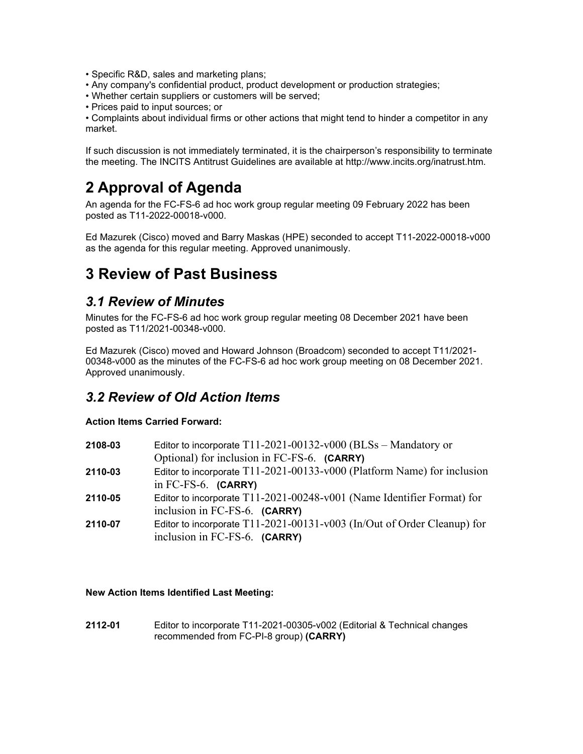- Specific R&D, sales and marketing plans;
- Any company's confidential product, product development or production strategies;
- Whether certain suppliers or customers will be served;
- Prices paid to input sources; or

• Complaints about individual firms or other actions that might tend to hinder a competitor in any market.

If such discussion is not immediately terminated, it is the chairperson's responsibility to terminate the meeting. The INCITS Antitrust Guidelines are available at http://www.incits.org/inatrust.htm.

# **2 Approval of Agenda**

An agenda for the FC-FS-6 ad hoc work group regular meeting 09 February 2022 has been posted as T11-2022-00018-v000.

Ed Mazurek (Cisco) moved and Barry Maskas (HPE) seconded to accept T11-2022-00018-v000 as the agenda for this regular meeting. Approved unanimously.

## **3 Review of Past Business**

#### *3.1 Review of Minutes*

Minutes for the FC-FS-6 ad hoc work group regular meeting 08 December 2021 have been posted as T11/2021-00348-v000.

Ed Mazurek (Cisco) moved and Howard Johnson (Broadcom) seconded to accept T11/2021- 00348-v000 as the minutes of the FC-FS-6 ad hoc work group meeting on 08 December 2021. Approved unanimously.

#### *3.2 Review of Old Action Items*

#### **Action Items Carried Forward:**

| 2108-03 | Editor to incorporate $T11-2021-00132-v000$ (BLSs - Mandatory or        |
|---------|-------------------------------------------------------------------------|
|         | Optional) for inclusion in FC-FS-6. (CARRY)                             |
| 2110-03 | Editor to incorporate T11-2021-00133-v000 (Platform Name) for inclusion |
|         | in $FC-FS-6$ . $(CARRY)$                                                |
| 2110-05 | Editor to incorporate T11-2021-00248-v001 (Name Identifier Format) for  |
|         | inclusion in FC-FS-6. (CARRY)                                           |
| 2110-07 | Editor to incorporate T11-2021-00131-v003 (In/Out of Order Cleanup) for |
|         | inclusion in FC-FS-6. (CARRY)                                           |

**New Action Items Identified Last Meeting:**

**2112-01** Editor to incorporate T11-2021-00305-v002 (Editorial & Technical changes recommended from FC-PI-8 group) **(CARRY)**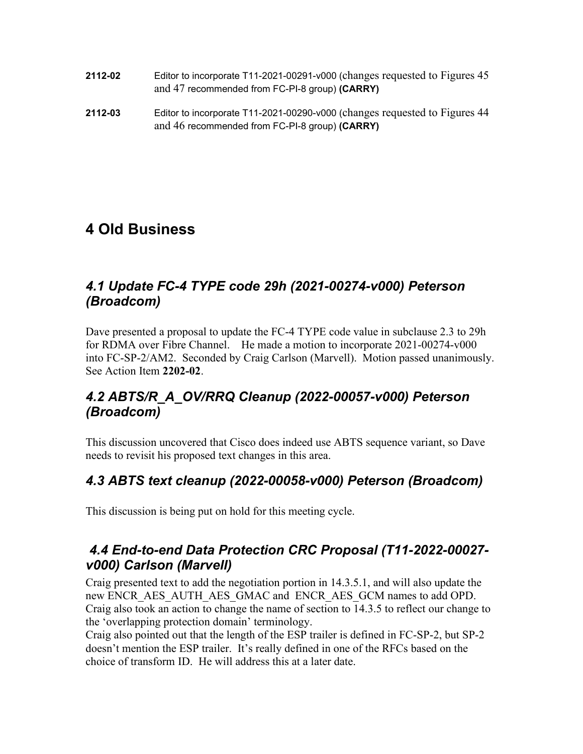- **2112-02** Editor to incorporate T11-2021-00291-v000 (changes requested to Figures 45 and 47 recommended from FC-PI-8 group) **(CARRY)**
- **2112-03** Editor to incorporate T11-2021-00290-v000 (changes requested to Figures 44 and 46 recommended from FC-PI-8 group) **(CARRY)**

## **4 Old Business**

### *4.1 Update FC-4 TYPE code 29h (2021-00274-v000) Peterson (Broadcom)*

Dave presented a proposal to update the FC-4 TYPE code value in subclause 2.3 to 29h for RDMA over Fibre Channel. He made a motion to incorporate 2021-00274-v000 into FC-SP-2/AM2. Seconded by Craig Carlson (Marvell). Motion passed unanimously. See Action Item **2202-02**.

## *4.2 ABTS/R\_A\_OV/RRQ Cleanup (2022-00057-v000) Peterson (Broadcom)*

This discussion uncovered that Cisco does indeed use ABTS sequence variant, so Dave needs to revisit his proposed text changes in this area.

## *4.3 ABTS text cleanup (2022-00058-v000) Peterson (Broadcom)*

This discussion is being put on hold for this meeting cycle.

#### *4.4 End-to-end Data Protection CRC Proposal (T11-2022-00027 v000) Carlson (Marvell)*

Craig presented text to add the negotiation portion in 14.3.5.1, and will also update the new ENCR\_AES\_AUTH\_AES\_GMAC and ENCR\_AES\_GCM names to add OPD. Craig also took an action to change the name of section to 14.3.5 to reflect our change to the 'overlapping protection domain' terminology.

Craig also pointed out that the length of the ESP trailer is defined in FC-SP-2, but SP-2 doesn't mention the ESP trailer. It's really defined in one of the RFCs based on the choice of transform ID. He will address this at a later date.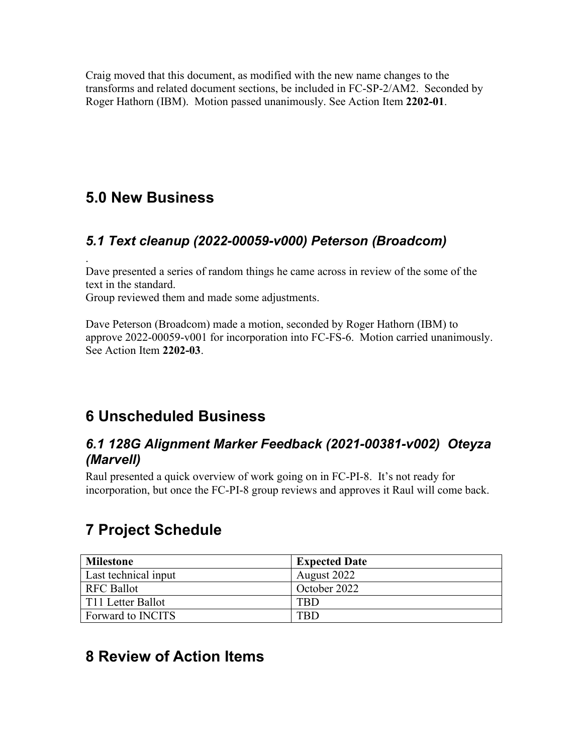Craig moved that this document, as modified with the new name changes to the transforms and related document sections, be included in FC-SP-2/AM2. Seconded by Roger Hathorn (IBM). Motion passed unanimously. See Action Item **2202-01**.

# **5.0 New Business**

## *5.1 Text cleanup (2022-00059-v000) Peterson (Broadcom)*

. Dave presented a series of random things he came across in review of the some of the text in the standard.

Group reviewed them and made some adjustments.

Dave Peterson (Broadcom) made a motion, seconded by Roger Hathorn (IBM) to approve 2022-00059-v001 for incorporation into FC-FS-6. Motion carried unanimously. See Action Item **2202-03**.

# **6 Unscheduled Business**

#### *6.1 128G Alignment Marker Feedback (2021-00381-v002) Oteyza (Marvell)*

Raul presented a quick overview of work going on in FC-PI-8. It's not ready for incorporation, but once the FC-PI-8 group reviews and approves it Raul will come back.

# **7 Project Schedule**

| <b>Milestone</b>         | <b>Expected Date</b> |
|--------------------------|----------------------|
| Last technical input     | August 2022          |
| <b>RFC Ballot</b>        | October 2022         |
| T11 Letter Ballot        | FBD                  |
| Forward to <b>INCITS</b> | 'BD                  |

# **8 Review of Action Items**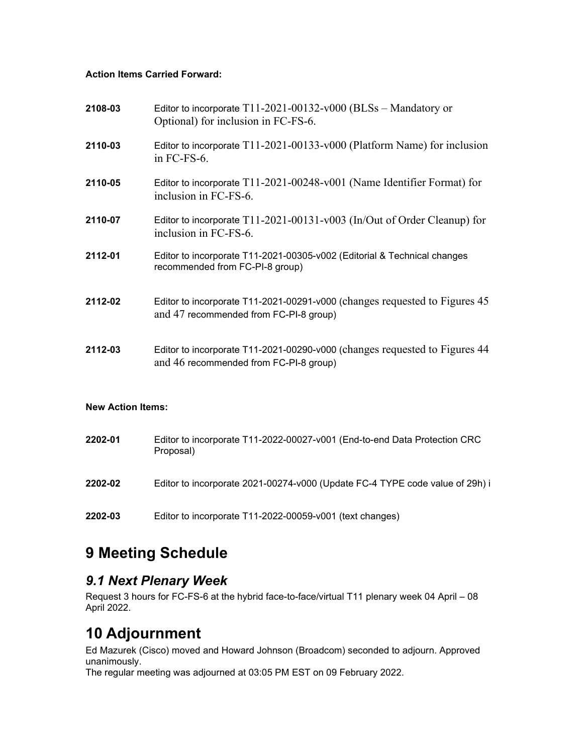#### **Action Items Carried Forward:**

| 2108-03 | Editor to incorporate $T11-2021-00132-v000$ (BLSs - Mandatory or<br>Optional) for inclusion in FC-FS-6.              |
|---------|----------------------------------------------------------------------------------------------------------------------|
| 2110-03 | Editor to incorporate T11-2021-00133-v000 (Platform Name) for inclusion<br>in FC-FS-6.                               |
| 2110-05 | Editor to incorporate T11-2021-00248-v001 (Name Identifier Format) for<br>inclusion in FC-FS-6.                      |
| 2110-07 | Editor to incorporate $T11-2021-00131-v003$ (In/Out of Order Cleanup) for<br>inclusion in FC-FS-6.                   |
| 2112-01 | Editor to incorporate T11-2021-00305-v002 (Editorial & Technical changes<br>recommended from FC-PI-8 group)          |
| 2112-02 | Editor to incorporate T11-2021-00291-v000 (changes requested to Figures 45<br>and 47 recommended from FC-PI-8 group) |
| 2112-03 | Editor to incorporate T11-2021-00290-v000 (changes requested to Figures 44<br>and 46 recommended from FC-PI-8 group) |
|         |                                                                                                                      |

#### **New Action Items:**

| 2202-01 | Editor to incorporate T11-2022-00027-v001 (End-to-end Data Protection CRC<br>Proposal) |
|---------|----------------------------------------------------------------------------------------|
| 2202-02 | Editor to incorporate 2021-00274-v000 (Update FC-4 TYPE code value of 29h) i           |
| 2202-03 | Editor to incorporate T11-2022-00059-v001 (text changes)                               |

# **9 Meeting Schedule**

#### *9.1 Next Plenary Week*

Request 3 hours for FC-FS-6 at the hybrid face-to-face/virtual T11 plenary week 04 April – 08 April 2022.

# **10 Adjournment**

Ed Mazurek (Cisco) moved and Howard Johnson (Broadcom) seconded to adjourn. Approved unanimously.

The regular meeting was adjourned at 03:05 PM EST on 09 February 2022.